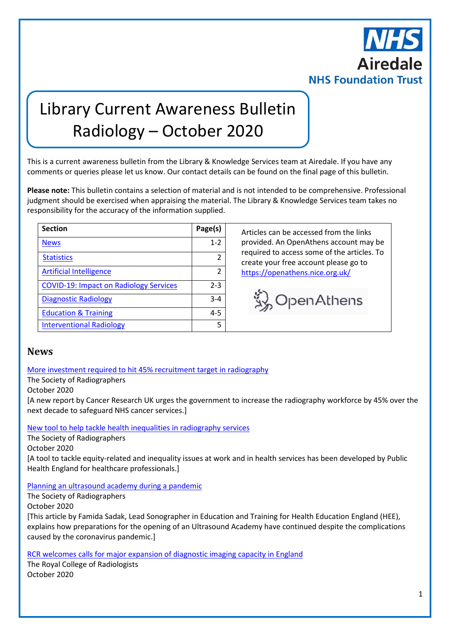

# Library Current Awareness Bulletin Radiology – October 2020

This is a current awareness bulletin from the Library & Knowledge Services team at Airedale. If you have any comments or queries please let us know. Our contact details can be found on the final page of this bulletin.

**Please note:** This bulletin contains a selection of material and is not intended to be comprehensive. Professional judgment should be exercised when appraising the material. The Library & Knowledge Services team takes no responsibility for the accuracy of the information supplied.

| <b>Section</b>                                | Page(s)       |
|-----------------------------------------------|---------------|
| <b>News</b>                                   | $1 - 2$       |
| <b>Statistics</b>                             |               |
| <b>Artificial Intelligence</b>                | $\mathfrak z$ |
| <b>COVID-19: Impact on Radiology Services</b> | $2 - 3$       |
| <b>Diagnostic Radiology</b>                   | $3 - 4$       |
| <b>Education &amp; Training</b>               | $4 - 5$       |
| <b>Interventional Radiology</b>               |               |

**Section Page(s)** Articles can be accessed from the links provided. An OpenAthens account may be required to access some of the articles. To create your free account please go to <https://openathens.nice.org.uk/>

Wolfen Athens

#### <span id="page-0-0"></span>**News**

[More investment required to hit 45% recruitment target in radiography](https://www.sor.org/news/more-investment-required-hit-45-recruitment-target-radiography)

The Society of Radiographers

October 2020

[A new report by Cancer Research UK urges the government to increase the radiography workforce by 45% over the next decade to safeguard NHS cancer services.]

[New tool to help tackle health inequalities in radiography services](https://www.sor.org/news/new-tool-help-tackle-health-inequalities-radiography-services)

The Society of Radiographers

October 2020

[A tool to tackle equity-related and inequality issues at work and in health services has been developed by Public Health England for healthcare professionals.]

[Planning an ultrasound academy during a pandemic](https://www.sor.org/news/planning-ultrasound-academy-during-pandemic)

The Society of Radiographers

October 2020

[This article by Famida Sadak, Lead Sonographer in Education and Training for Health Education England (HEE), explains how preparations for the opening of an Ultrasound Academy have continued despite the complications caused by the coronavirus pandemic.]

[RCR welcomes calls for major expansion of diagnostic imaging capacity in England](https://www.rcr.ac.uk/posts/rcr-welcomes-calls-major-expansion-diagnostic-imaging-capacity-england)

The Royal College of Radiologists October 2020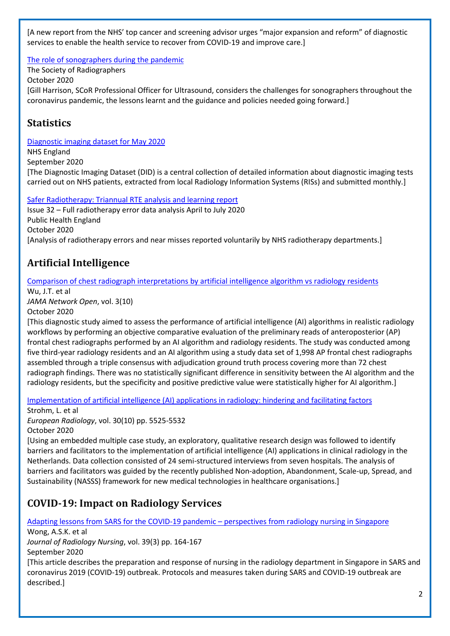[A new report from the NHS' top cancer and screening advisor urges "major expansion and reform" of diagnostic services to enable the health service to recover from COVID-19 and improve care.]

The [role of sonographers during the pandemic](https://www.sor.org/news/role-sonographers-during-pandemic)

The Society of Radiographers October 2020

[Gill Harrison, SCoR Professional Officer for Ultrasound, considers the challenges for sonographers throughout the coronavirus pandemic, the lessons learnt and the guidance and policies needed going forward.]

### <span id="page-1-0"></span>**Statistics**

[Diagnostic imaging dataset for May 2020](https://www.gov.uk/government/statistics/diagnostic-imaging-dataset-for-may-2020)

NHS England September 2020 [The Diagnostic Imaging Dataset (DID) is a central collection of detailed information about diagnostic imaging tests carried out on NHS patients, extracted from local Radiology Information Systems (RISs) and submitted monthly.]

[Safer Radiotherapy: Triannual RTE analysis and learning report](https://www.gov.uk/government/publications/safer-radiotherapy-error-data-analysis-report) Issue 32 – Full radiotherapy error data analysis April to July 2020 Public Health England October 2020 [Analysis of radiotherapy errors and near misses reported voluntarily by NHS radiotherapy departments.]

# <span id="page-1-1"></span>**Artificial Intelligence**

[Comparison of chest radiograph interpretations by artificial intelligence algorithm vs radiology residents](https://jamanetwork.com/journals/jamanetworkopen/article-abstract/2771528)

Wu, J.T. et al

*JAMA Network Open*, vol. 3(10) October 2020

[This diagnostic study aimed to assess the performance of artificial intelligence (AI) algorithms in realistic radiology workflows by performing an objective comparative evaluation of the preliminary reads of anteroposterior (AP) frontal chest radiographs performed by an AI algorithm and radiology residents. The study was conducted among five third-year radiology residents and an AI algorithm using a study data set of 1,998 AP frontal chest radiographs assembled through a triple consensus with adjudication ground truth process covering more than 72 chest radiograph findings. There was no statistically significant difference in sensitivity between the AI algorithm and the radiology residents, but the specificity and positive predictive value were statistically higher for AI algorithm.]

[Implementation of artificial intelligence \(AI\) applications in radiology: hindering and facilitating factors](https://link.springer.com/article/10.1007/s00330-020-06946-y)

Strohm, L. et al

*European Radiology*, vol. 30(10) pp. 5525-5532 October 2020

[Using an embedded multiple case study, an exploratory, qualitative research design was followed to identify barriers and facilitators to the implementation of artificial intelligence (AI) applications in clinical radiology in the Netherlands. Data collection consisted of 24 semi-structured interviews from seven hospitals. The analysis of barriers and facilitators was guided by the recently published Non-adoption, Abandonment, Scale-up, Spread, and Sustainability (NASSS) framework for new medical technologies in healthcare organisations.]

# <span id="page-1-2"></span>**COVID-19: Impact on Radiology Services**

[Adapting lessons from SARS for the COVID-19 pandemic](https://www.sciencedirect.com/science/article/pii/S1546084320301012?via%3Dihub) – perspectives from radiology nursing in Singapore

Wong, A.S.K. et al

*Journal of Radiology Nursing*, vol. 39(3) pp. 164-167 September 2020

[This article describes the preparation and response of nursing in the radiology department in Singapore in SARS and coronavirus 2019 (COVID-19) outbreak. Protocols and measures taken during SARS and COVID-19 outbreak are described.]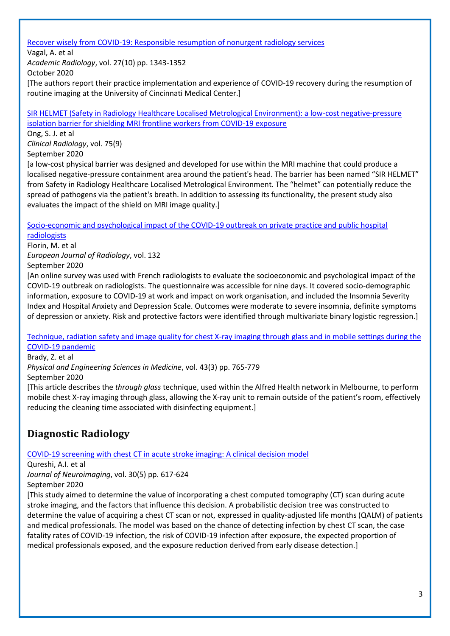[Recover wisely from COVID-19: Responsible resumption of nonurgent radiology services](https://www.sciencedirect.com/science/article/pii/S1076633220304797)

Vagal, A. et al

*Academic Radiology*, vol. 27(10) pp. 1343-1352

October 2020

[The authors report their practice implementation and experience of COVID-19 recovery during the resumption of routine imaging at the University of Cincinnati Medical Center.]

[SIR HELMET \(Safety in Radiology Healthcare Localised Metrological Environment\): a low-cost negative-pressure](https://www.clinicalradiologyonline.net/article/S0009-9260(20)30232-4/fulltext)  [isolation barrier for shielding MRI frontline workers from COVID-19 exposure](https://www.clinicalradiologyonline.net/article/S0009-9260(20)30232-4/fulltext)

Ong, S. J. et al *Clinical Radiology*, vol. 75(9) September 2020

[a low-cost physical barrier was designed and developed for use within the MRI machine that could produce a localised negative-pressure containment area around the patient's head. The barrier has been named "SIR HELMET" from Safety in Radiology Healthcare Localised Metrological Environment. The "helmet" can potentially reduce the spread of pathogens via the patient's breath. In addition to assessing its functionality, the present study also evaluates the impact of the shield on MRI image quality.]

[Socio-economic and psychological impact of the COVID-19 outbreak on private practice and public hospital](https://www.ejradiology.com/article/S0720-048X(20)30474-5/fulltext)  [radiologists](https://www.ejradiology.com/article/S0720-048X(20)30474-5/fulltext)

Florin, M. et al *European Journal of Radiology*, vol. 132 September 2020

[An online survey was used with French radiologists to evaluate the socioeconomic and psychological impact of the COVID-19 outbreak on radiologists. The questionnaire was accessible for nine days. It covered socio-demographic information, exposure to COVID-19 at work and impact on work organisation, and included the Insomnia Severity Index and Hospital Anxiety and Depression Scale. Outcomes were moderate to severe insomnia, definite symptoms of depression or anxiety. Risk and protective factors were identified through multivariate binary logistic regression.]

[Technique, radiation safety and image quality for chest X-ray imaging through glass and in mobile settings during the](https://link.springer.com/article/10.1007%2Fs13246-020-00899-8)  [COVID-19 pandemic](https://link.springer.com/article/10.1007%2Fs13246-020-00899-8)

Brady, Z. et al

*Physical and Engineering Sciences in Medicine*, vol. 43(3) pp. 765-779

September 2020

[This article describes the *through glass* technique, used within the Alfred Health network in Melbourne, to perform mobile chest X-ray imaging through glass, allowing the X-ray unit to remain outside of the patient's room, effectively reducing the cleaning time associated with disinfecting equipment.]

## <span id="page-2-0"></span>**Diagnostic Radiology**

[COVID-19 screening with chest CT in acute stroke imaging: A clinical decision model](https://onlinelibrary.wiley.com/doi/10.1111/jon.12746)

Qureshi, A.I. et al *Journal of Neuroimaging*, vol. 30(5) pp. 617-624 September 2020

[This study aimed to determine the value of incorporating a chest computed tomography (CT) scan during acute stroke imaging, and the factors that influence this decision. A probabilistic decision tree was constructed to determine the value of acquiring a chest CT scan or not, expressed in quality-adjusted life months (QALM) of patients and medical professionals. The model was based on the chance of detecting infection by chest CT scan, the case fatality rates of COVID‐19 infection, the risk of COVID‐19 infection after exposure, the expected proportion of medical professionals exposed, and the exposure reduction derived from early disease detection.]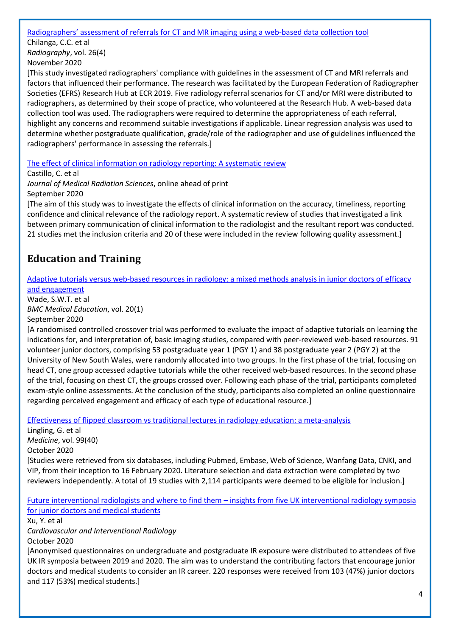Radiographers' assessment of referrals [for CT and MR imaging using a web-based data collection tool](https://www.radiographyonline.com/article/S1078-8174(20)30053-5/fulltext)

Chilanga, C.C. et al *Radiography*, vol. 26(4) November 2020

[This study investigated radiographers' compliance with guidelines in the assessment of CT and MRI referrals and factors that influenced their performance. The research was facilitated by the European Federation of Radiographer Societies (EFRS) Research Hub at ECR 2019. Five radiology referral scenarios for CT and/or MRI were distributed to radiographers, as determined by their scope of practice, who volunteered at the Research Hub. A web-based data collection tool was used. The radiographers were required to determine the appropriateness of each referral, highlight any concerns and recommend suitable investigations if applicable. Linear regression analysis was used to determine whether postgraduate qualification, grade/role of the radiographer and use of guidelines influenced the radiographers' performance in assessing the referrals.]

[The effect of clinical information on radiology reporting: A systematic review](https://onlinelibrary.wiley.com/doi/full/10.1002/jmrs.424)

Castillo, C. et al

*Journal of Medical Radiation Sciences*, online ahead of print September 2020

[The aim of this study was to investigate the effects of clinical information on the accuracy, timeliness, reporting confidence and clinical relevance of the radiology report. A systematic review of studies that investigated a link between primary communication of clinical information to the radiologist and the resultant report was conducted. 21 studies met the inclusion criteria and 20 of these were included in the review following quality assessment.]

# <span id="page-3-0"></span>**Education and Training**

[Adaptive tutorials versus web-based resources in radiology: a mixed methods analysis in junior doctors of efficacy](https://bmcmededuc.biomedcentral.com/articles/10.1186/s12909-020-02237-8)  [and engagement](https://bmcmededuc.biomedcentral.com/articles/10.1186/s12909-020-02237-8)

Wade, S.W.T. et al *BMC Medical Education*, vol. 20(1) September 2020

[A randomised controlled crossover trial was performed to evaluate the impact of adaptive tutorials on learning the indications for, and interpretation of, basic imaging studies, compared with peer-reviewed web-based resources. 91 volunteer junior doctors, comprising 53 postgraduate year 1 (PGY 1) and 38 postgraduate year 2 (PGY 2) at the University of New South Wales, were randomly allocated into two groups. In the first phase of the trial, focusing on head CT, one group accessed adaptive tutorials while the other received web-based resources. In the second phase of the trial, focusing on chest CT, the groups crossed over. Following each phase of the trial, participants completed exam-style online assessments. At the conclusion of the study, participants also completed an online questionnaire regarding perceived engagement and efficacy of each type of educational resource.]

[Effectiveness of flipped classroom vs traditional lectures in radiology education: a meta-analysis](https://journals.lww.com/md-journal/Fulltext/2020/10020/Effectiveness_of_flipped_classroom_vs_traditional.43.aspx)

Lingling, G. et al *Medicine*, vol. 99(40) October 2020 [Studies were retrieved from six databases, including Pubmed, Embase, Web of Science, Wanfang Data, CNKI, and VIP, from their inception to 16 February 2020. Literature selection and data extraction were completed by two reviewers independently. A total of 19 studies with 2,114 participants were deemed to be eligible for inclusion.]

[Future interventional radiologists and where to find them](https://link.springer.com/article/10.1007%2Fs00270-020-02655-7) – insights from five UK interventional radiology symposia [for junior doctors and medical students](https://link.springer.com/article/10.1007%2Fs00270-020-02655-7)

Xu, Y. et al *Cardiovascular and Interventional Radiology*

October 2020

[Anonymised questionnaires on undergraduate and postgraduate IR exposure were distributed to attendees of five UK IR symposia between 2019 and 2020. The aim was to understand the contributing factors that encourage junior doctors and medical students to consider an IR career. 220 responses were received from 103 (47%) junior doctors and 117 (53%) medical students.]